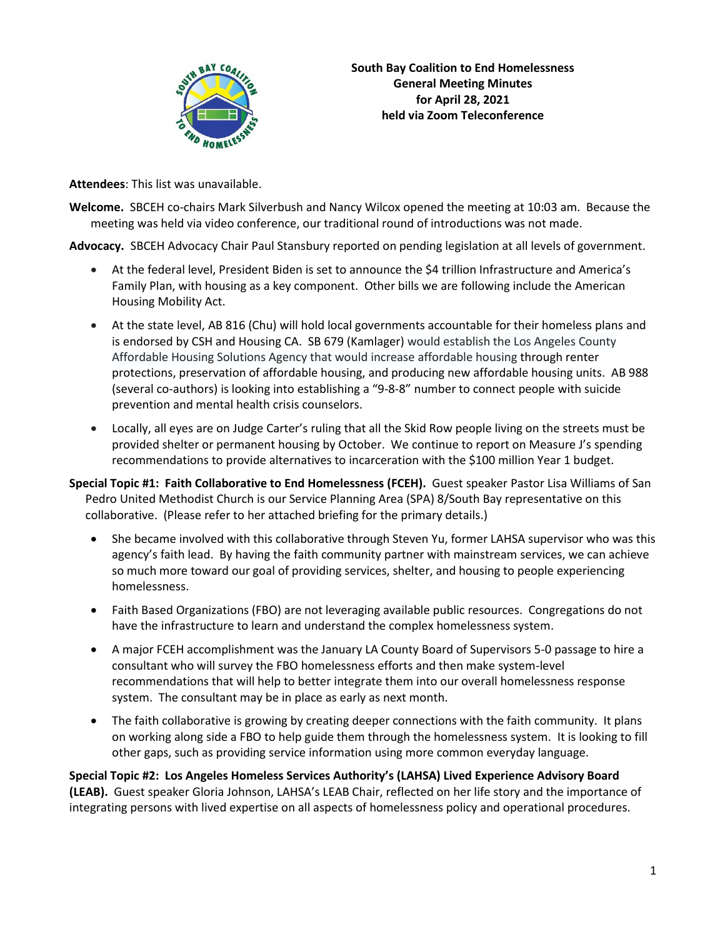

**Attendees**: This list was unavailable.

**Welcome.** SBCEH co-chairs Mark Silverbush and Nancy Wilcox opened the meeting at 10:03 am. Because the meeting was held via video conference, our traditional round of introductions was not made.

**Advocacy.** SBCEH Advocacy Chair Paul Stansbury reported on pending legislation at all levels of government.

- At the federal level, President Biden is set to announce the \$4 trillion Infrastructure and America's Family Plan, with housing as a key component. Other bills we are following include the American Housing Mobility Act.
- At the state level, AB 816 (Chu) will hold local governments accountable for their homeless plans and is endorsed by CSH and Housing CA. SB 679 (Kamlager) would establish the Los Angeles County Affordable Housing Solutions Agency that would increase affordable housing through renter protections, preservation of affordable housing, and producing new affordable housing units. AB 988 (several co-authors) is looking into establishing a "9-8-8" number to connect people with suicide prevention and mental health crisis counselors.
- Locally, all eyes are on Judge Carter's ruling that all the Skid Row people living on the streets must be provided shelter or permanent housing by October. We continue to report on Measure J's spending recommendations to provide alternatives to incarceration with the \$100 million Year 1 budget.
- **Special Topic #1: Faith Collaborative to End Homelessness (FCEH).** Guest speaker Pastor Lisa Williams of San Pedro United Methodist Church is our Service Planning Area (SPA) 8/South Bay representative on this collaborative. (Please refer to her attached briefing for the primary details.)
	- She became involved with this collaborative through Steven Yu, former LAHSA supervisor who was this agency's faith lead. By having the faith community partner with mainstream services, we can achieve so much more toward our goal of providing services, shelter, and housing to people experiencing homelessness.
	- Faith Based Organizations (FBO) are not leveraging available public resources. Congregations do not have the infrastructure to learn and understand the complex homelessness system.
	- A major FCEH accomplishment was the January LA County Board of Supervisors 5-0 passage to hire a consultant who will survey the FBO homelessness efforts and then make system-level recommendations that will help to better integrate them into our overall homelessness response system. The consultant may be in place as early as next month.
	- The faith collaborative is growing by creating deeper connections with the faith community. It plans on working along side a FBO to help guide them through the homelessness system. It is looking to fill other gaps, such as providing service information using more common everyday language.

**Special Topic #2: Los Angeles Homeless Services Authority's (LAHSA) Lived Experience Advisory Board (LEAB).** Guest speaker Gloria Johnson, LAHSA's LEAB Chair, reflected on her life story and the importance of integrating persons with lived expertise on all aspects of homelessness policy and operational procedures.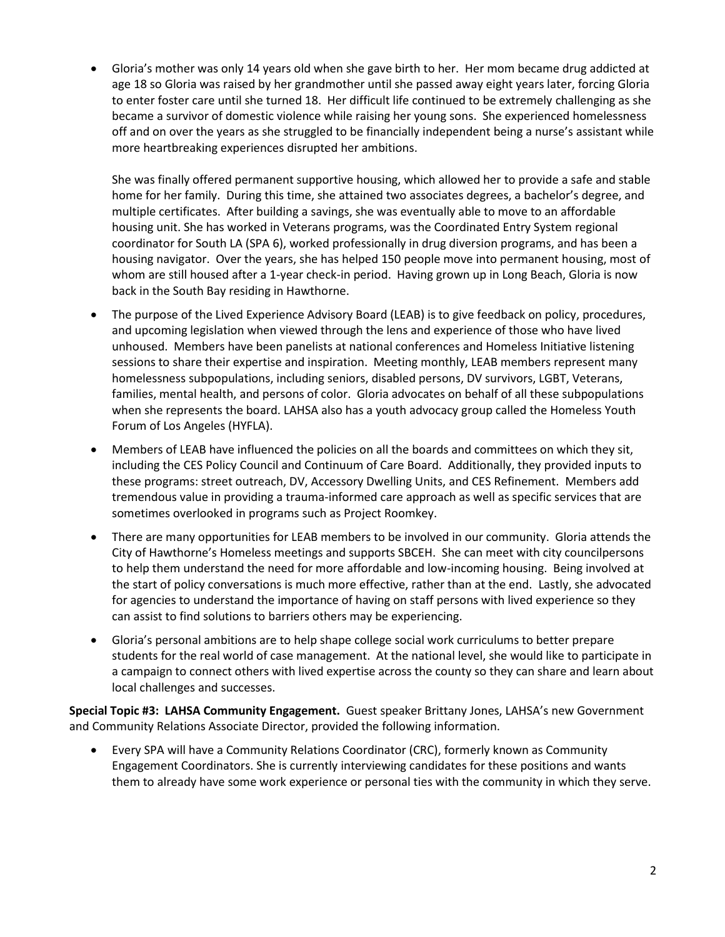• Gloria's mother was only 14 years old when she gave birth to her. Her mom became drug addicted at age 18 so Gloria was raised by her grandmother until she passed away eight years later, forcing Gloria to enter foster care until she turned 18. Her difficult life continued to be extremely challenging as she became a survivor of domestic violence while raising her young sons. She experienced homelessness off and on over the years as she struggled to be financially independent being a nurse's assistant while more heartbreaking experiences disrupted her ambitions.

She was finally offered permanent supportive housing, which allowed her to provide a safe and stable home for her family. During this time, she attained two associates degrees, a bachelor's degree, and multiple certificates. After building a savings, she was eventually able to move to an affordable housing unit. She has worked in Veterans programs, was the Coordinated Entry System regional coordinator for South LA (SPA 6), worked professionally in drug diversion programs, and has been a housing navigator. Over the years, she has helped 150 people move into permanent housing, most of whom are still housed after a 1-year check-in period. Having grown up in Long Beach, Gloria is now back in the South Bay residing in Hawthorne.

- The purpose of the Lived Experience Advisory Board (LEAB) is to give feedback on policy, procedures, and upcoming legislation when viewed through the lens and experience of those who have lived unhoused. Members have been panelists at national conferences and Homeless Initiative listening sessions to share their expertise and inspiration. Meeting monthly, LEAB members represent many homelessness subpopulations, including seniors, disabled persons, DV survivors, LGBT, Veterans, families, mental health, and persons of color. Gloria advocates on behalf of all these subpopulations when she represents the board. LAHSA also has a youth advocacy group called the Homeless Youth Forum of Los Angeles (HYFLA).
- Members of LEAB have influenced the policies on all the boards and committees on which they sit, including the CES Policy Council and Continuum of Care Board. Additionally, they provided inputs to these programs: street outreach, DV, Accessory Dwelling Units, and CES Refinement. Members add tremendous value in providing a trauma-informed care approach as well as specific services that are sometimes overlooked in programs such as Project Roomkey.
- There are many opportunities for LEAB members to be involved in our community. Gloria attends the City of Hawthorne's Homeless meetings and supports SBCEH. She can meet with city councilpersons to help them understand the need for more affordable and low-incoming housing. Being involved at the start of policy conversations is much more effective, rather than at the end. Lastly, she advocated for agencies to understand the importance of having on staff persons with lived experience so they can assist to find solutions to barriers others may be experiencing.
- Gloria's personal ambitions are to help shape college social work curriculums to better prepare students for the real world of case management. At the national level, she would like to participate in a campaign to connect others with lived expertise across the county so they can share and learn about local challenges and successes.

**Special Topic #3: LAHSA Community Engagement.** Guest speaker Brittany Jones, LAHSA's new Government and Community Relations Associate Director, provided the following information.

• Every SPA will have a Community Relations Coordinator (CRC), formerly known as Community Engagement Coordinators. She is currently interviewing candidates for these positions and wants them to already have some work experience or personal ties with the community in which they serve.